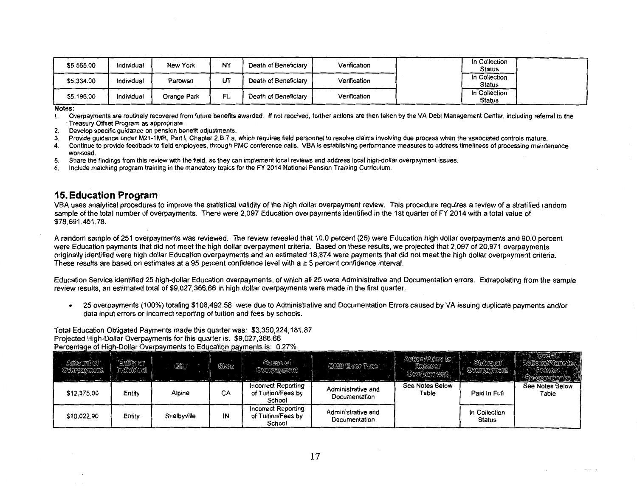| \$5,565.00 | Individual | New York    | NY  | Death of Beneficiary | Verification | In Collection<br><b>Status</b> |  |
|------------|------------|-------------|-----|----------------------|--------------|--------------------------------|--|
| \$5,334.00 | Individual | Parowan     | JT  | Death of Beneficiarv | Verification | In Collection<br><b>Status</b> |  |
| \$5,196.00 | Individual | Orange Park | FL. | Death of Beneficiary | Verification | In Collection<br><b>Status</b> |  |

1. Overpayments are routinely recovered from future benefits awarded. If not received, further actions are then taken by the VA Debt Management Center, including referral to the •Treasury Offset Program as appropriate.

2. Develop specific guidance on pension benefit adjustments.

3. Provide guidance under M21-1MR, Part I, Chapter 2.B.7.a, which requires field personnel to resolve claims involving due process when the associated controls mature.

4. Continue to provide feedback to field employees, through PMC conference calls. VBA is establishing performance measures to address timeliness of processing maintenance workload.

5. Share the findings from this review with the field, so they can implement local reviews and address local high-dollar overpayment issues.

6. Include matching program training in the mandatory topics for the FY 2014 National Pension Training Curriculum.

### **15. Education Program**

VBA uses analytical procedures to improve the statistical validity of the high dollar overpayment review. This procedure requires a review of a stratified random sample of the total number of overpayments. There were 2,097 Education overpayments identified in the 1st quarter of FY 2014 with a total value of \$78,691.451.78.

A random sample of 251 overpayments was reviewed. The review revealed that 10.0 percent (25) were Education high dollar overpayments and 90.0 percent were Education payments that did not meet the high dollar overpayment criteria. Based on these results, we projected that 2,097 of 20,971 overpayments originally identified were high dollar Education overpayments and an estimated 18,874 were payments that did not meet the high dollar overpayment criteria. These results are based on estimates at a 95 percent confidence level with a  $\pm$  5 percent confidence interval.

Education Service identified 25 high-dollar Education overpayments, of which all 25 were Administrative and Documentation errors. Extrapolating from the sample review results, an estimated total of \$9,027,366.66 in high dollar overpayments were made in the first quarter.

25 overpayments (100%) totaling \$106,492.58 were due to Administrative and Documentation Errors caused by VA issuing duplicate payments and/or  $\bullet$ data input errors or incorrect reporting of tuition and fees by schools.

Total Education Obligated Payments maqe this quarter was: \$3,350,224,181.87 Projected High-Dollar Overpayments for this quarter is: \$9,027,366.66 of H

| Aniount of :<br>Oversemment | Entity or<br>ndividual | CKy         | State | Gauso of<br>Overpayment                             | <b>OMB</b> Error Type               | Action/Plane to<br>Rocovor <sup></sup><br>Overpennnent |                         |                          |
|-----------------------------|------------------------|-------------|-------|-----------------------------------------------------|-------------------------------------|--------------------------------------------------------|-------------------------|--------------------------|
| \$12,375.00                 | Entity                 | Alpine      | CА    | Incorrect Reporting<br>of Tuition/Fees by<br>School | Administrative and<br>Documentation | See Notes Below<br>Table                               | Paid In Full            | See Notes Below<br>Table |
| \$10,022.90                 | Entity                 | Shelbyville | ١N    | Incorrect Reporting<br>of Tuition/Fees by<br>School | Administrative and<br>Documentation |                                                        | In Collection<br>Status |                          |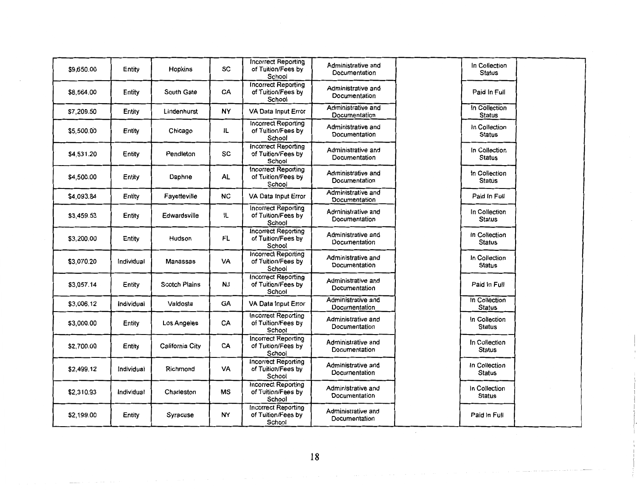| \$9,650.00 | Entity     | Hopkins              | <b>SC</b> | Incorrect Reporting<br>of Tuition/Fees by<br>School        | Administrative and<br>Documentation | In Collection<br><b>Status</b> |  |
|------------|------------|----------------------|-----------|------------------------------------------------------------|-------------------------------------|--------------------------------|--|
| \$8,564.00 | Entity     | South Gate           | CA        | <b>Incorrect Reporting</b><br>of Tuition/Fees by<br>School | Administrative and<br>Documentation | Paid In Full                   |  |
| \$7,209.50 | Entity     | Lindenhurst          | <b>NY</b> | VA Data Input Error                                        | Administrative and<br>Documentation | In Collection<br><b>Status</b> |  |
| \$5,500.00 | Entity     | Chicago              | ١L        | <b>Incorrect Reporting</b><br>of Tuition/Fees by<br>School | Administrative and<br>Documentation | In Collection<br>Status        |  |
| \$4.531.20 | Entity     | Pendleton            | <b>SC</b> | <b>Incorrect Reporting</b><br>of Tuition/Fees by<br>School | Administrative and<br>Documentation | In Collection<br><b>Status</b> |  |
| \$4,500.00 | Entity     | Daphne               | <b>AL</b> | <b>Incorrect Reporting</b><br>of Tuition/Fees by<br>School | Administrative and<br>Documentation | In Collection<br>Status        |  |
| \$4.093.84 | Entity     | Fayetteville         | <b>NC</b> | VA Data Input Error                                        | Administrative and<br>Documentation | Paid In Full                   |  |
| \$3,459.53 | Entity     | Edwardsville         | IL        | <b>Incorrect Reporting</b><br>of Tuition/Fees by<br>School | Administrative and<br>Documentation | In Collection<br><b>Status</b> |  |
| \$3,200.00 | Entity     | Hudson               | FL.       | <b>Incorrect Reporting</b><br>of Tuition/Fees by<br>School | Administrative and<br>Documentation | In Collection<br><b>Status</b> |  |
| \$3,070.20 | Individual | Manassas             | VA        | <b>Incorrect Reporting</b><br>of Tuition/Fees by<br>School | Administrative and<br>Documentation | In Collection<br><b>Status</b> |  |
| \$3,057.14 | Entity     | <b>Scotch Plains</b> | <b>NJ</b> | <b>Incorrect Reporting</b><br>of Tuition/Fees by<br>School | Administrative and<br>Documentation | Paid In Full                   |  |
| \$3,006.12 | Individual | Valdosta             | GA        | VA Data Input Error                                        | Administrative and<br>Documentation | In Collection<br><b>Status</b> |  |
| \$3,000.00 | Entity     | Los Angeles          | CA        | <b>Incorrect Reporting</b><br>of Tuition/Fees by<br>School | Administrative and<br>Documentation | In Collection<br><b>Status</b> |  |
| \$2,700.00 | Entity     | California City      | CA        | <b>Incorrect Reporting</b><br>of Tuition/Fees by<br>School | Administrative and<br>Documentation | In Collection<br><b>Status</b> |  |
| \$2,499.12 | Individual | Richmond             | VA        | <b>Incorrect Reporting</b><br>of Tuition/Fees by<br>School | Administrative and<br>Documentation | In Collection<br><b>Status</b> |  |
| \$2,310.93 | Individual | Charleston           | МS        | <b>Incorrect Reporting</b><br>of Tuition/Fees by<br>School | Administrative and<br>Documentation | In Collection<br><b>Status</b> |  |
| \$2,199.00 | Entity     | Syracuse             | <b>NY</b> | <b>Incorrect Reporting</b><br>of Tuition/Fees by<br>School | Administrative and<br>Documentation | Paid In Full                   |  |

18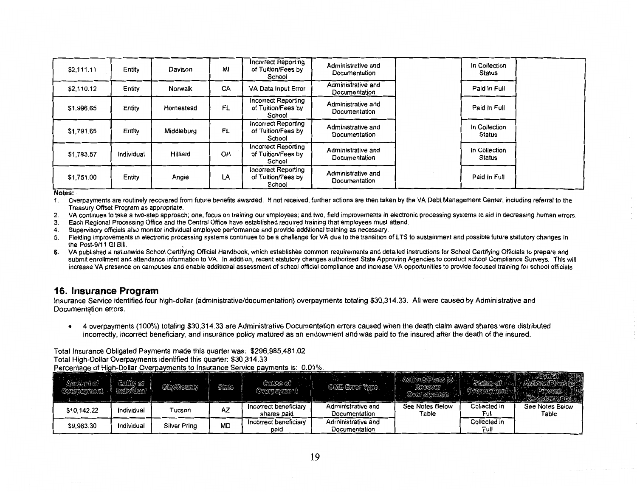| \$2,111.11 | Entity     | Davison    | MI | Incorrect Reporting<br>of Tuition/Fees by<br>School        | Administrative and<br>Documentation | In Collection<br>Status        |  |
|------------|------------|------------|----|------------------------------------------------------------|-------------------------------------|--------------------------------|--|
| \$2,110.12 | Entity     | Norwalk    | CA | VA Data Input Error                                        | Administrative and<br>Documentation | Paid In Full                   |  |
| \$1,996.65 | Entity     | Homestead  | FL | <b>Incorrect Reporting</b><br>of Tuition/Fees by<br>School | Administrative and<br>Documentation | Paid in Full                   |  |
| \$1,791.65 | Entity     | Middleburg | FL | <b>Incorrect Reporting</b><br>of Tuition/Fees by<br>School | Administrative and<br>Documentation | In Collection<br><b>Status</b> |  |
| \$1,783.57 | Individual | Hilliard   | OH | Incorrect Reporting<br>of Tuition/Fees by<br>School        | Administrative and<br>Documentation | In Collection<br><b>Status</b> |  |
| \$1,751.00 | Entity     | Angie      | LA | <b>Incorrect Reporting</b><br>of Tuition/Fees by<br>School | Administrative and<br>Documentation | Paid in Full                   |  |

- Overpayments are routinely recovered from future benefits awarded. If not received, further actions are then taken by the VA Debt Management Center, including referral to the 1. Treasury Offset Program as appropriate.
- 2. VA continues to take a two-step approach; one, focus on training our employees; and two, field improvements in electronic processing systems to aid in decreasing human errors.
- 3. Each Regional Processing Office and the Central Office have established required training that employees must attend.
- 4. Supervisory officials also monitor individual employee performance and provide additional training as necessary.
- 5. Fielding improvements in electronic processing systems continues to be a challenge for VA due to the transition of LTS to sustainment and possible future statutory changes in the Post-9/11 GI Bill.
- **6.**  VA published a nationwide School Certifying Official Handbook, which establishes common requirements and detailed instructions for School Certifying Officials to prepare and submit enrollment and attendance information to VA. In addition, recent statutory changes authorized State Approving Agencies to conduct school Compliance Surveys. This will increase VA presence on campuses and enable additional assessment of school official compliance and increase VA opportunities to provide focused training for school officials.

### **16. Insurance Program**

Insurance Service identified four high-dollar (administrative/documentation) overpayments totaling \$30,314.33. All were caused by Administrative and Documentation errors.

• 4 overpayments (100%) totaling \$30,314.33 are Administrative Documentation errors caused when the death claim award shares were distributed incorrectly, incorrect beneficiary, and insurance policy matured as an endowment and was paid to the insured after the death of the insured.

Total Insurance Obligated Payments made this quarter was: \$296,985,481.02.

Total High-Dollar Overpayments identified this quarter: \$30,314.33

Dollar

| ount of<br>Oxwyeryndent | Entity or  | Gly/Gounty   | Sinte | Gause of<br>OVEHPEMMONÎ              | OMB Error Type.                     | REGOVET<br>Overfelvment  |                      |                          |
|-------------------------|------------|--------------|-------|--------------------------------------|-------------------------------------|--------------------------|----------------------|--------------------------|
| \$10.142.22             | Individual | Tucson       | AZ    | Incorrect beneficiary<br>shares paid | Administrative and<br>Documentation | See Notes Below<br>Table | Collected in<br>Full | See Notes Below<br>Table |
| \$9,983.30              | Individual | Silver Pring | MD    | Incorrect beneficiary<br>paid        | Administrative and<br>Documentation |                          | Collected in<br>Full |                          |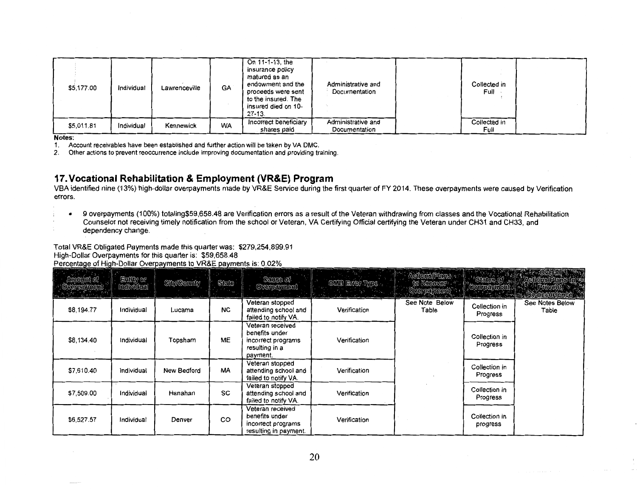| \$5,177.00 | Individual | Lawrenceville | GA        | On 11-1-13, the<br>insurance policy<br>matured as an<br>endowment and the<br>proceeds were sent<br>to the insured. The<br>insured died on 10-<br>27-13. | Administrative and<br>Documentation | Collected in<br>Full - |  |
|------------|------------|---------------|-----------|---------------------------------------------------------------------------------------------------------------------------------------------------------|-------------------------------------|------------------------|--|
| \$5,011.81 | Individual | Kennewick     | <b>WA</b> | Incorrect beneficiary<br>shares paid                                                                                                                    | Administrative and<br>Documentation | Collected in<br>Full   |  |

1. Account receivables have been established and further action will be taken by VA DMC.

2. Other actions to prevent reoccurrence include improving documentation and providing training.

# **17.Vocational Rehabilitation & Employment (VR&E) Program**

VBA identified nine (13%) high-dollar overpayments made by VR&E Service during the first quarter of FY 2014. These overpayments were caused by Verification errors.

• 9 overpayments (1 00%) totaling\$59,658.48 are Verification errors as a result of the Veteran withdrawing from classes and the Vocational Rehabilitation Counselor not receiving timely notification from the school or Veteran, VA Certifying Official certifying the Veteran under CH31 and CH33, and dependency change.

Total VR&E Obligated Payments made this quarter was: \$279,254,899.91 High-Dollar Overpayments for this quarter is: \$59,658.48 h-Dollar Overoavments to VR&E

| iduni of<br>denameint<br><b>Andrew Co</b> | Ently or<br>Incividual | <b>Chy/Gounty</b> | State     | Cause of<br><b>Overgelyment</b>                                                        | CME Error Type<br><b>THE REAL</b> | Actors/Plans -<br>to Recover<br><b>The Company</b> | Sterrie of                | $\mathcal{E} = \mathbb{R} \cup \mathbb{C}$ . Overall<br>ANGUNGUREUM JANU |
|-------------------------------------------|------------------------|-------------------|-----------|----------------------------------------------------------------------------------------|-----------------------------------|----------------------------------------------------|---------------------------|--------------------------------------------------------------------------|
| \$8,194.77                                | Individual             | Lucama            | <b>NC</b> | Veteran stopped<br>attending school and<br>failed to notify VA.                        | Verification                      | See Note Below<br>Table                            | Collection in<br>Progress | See Notes Below<br>Table                                                 |
| \$8,134.40                                | Individual             | Topsham           | МË        | Veteran received<br>benefits under<br>incorrect programs<br>resulting in a<br>payment. | Verification                      |                                                    | Collection in<br>Progress |                                                                          |
| \$7,610.40                                | Individual             | New Bedford       | MA        | Veteran stopped<br>attending school and<br>failed to notify VA.                        | Verification                      |                                                    | Collection in<br>Progress |                                                                          |
| \$7,509.00                                | Individual             | Hanahan           | SC        | Veteran stopped<br>attending school and<br>failed to notify VA.                        | Verification                      |                                                    | Collection in<br>Progress |                                                                          |
| \$6,527.57                                | Individual             | Denver            | CO        | Veteran received<br>benefits under<br>incorrect programs<br>resulting in payment.      | Verification                      |                                                    | Collection in<br>progress |                                                                          |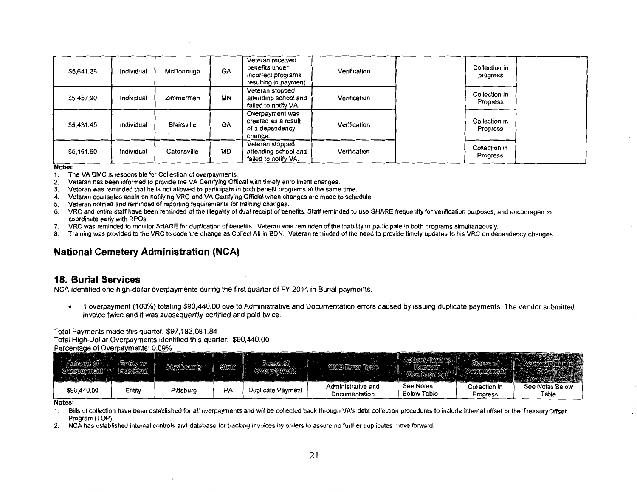| \$5.641.39 | Individual | McDonough          | <b>GA</b> | Veteran received<br>benefits under<br>incorrect programs<br>resulting in payment. | Verification | Collection in<br>progress |  |
|------------|------------|--------------------|-----------|-----------------------------------------------------------------------------------|--------------|---------------------------|--|
| \$5,457.90 | Individual | Zimmerman          | <b>MN</b> | Veteran stopped<br>attending school and<br>failed to notify VA.                   | Verification | Collection in<br>Progress |  |
| \$5,431.45 | Individual | <b>Blairsville</b> | <b>GA</b> | Overpayment was<br>created as a result<br>of a dependency<br>change.              | Verification | Collection in<br>Progress |  |
| \$5,151.60 | Individual | Catonsville        | <b>MD</b> | Veteran stopped<br>attending school and<br>failed to notify VA.                   | Verification | Collection in<br>Progress |  |

- 1. The VA DMC is responsible for Collection of overpayments.
- 2. Veteran has been informed to provide the VA Certifying Official with timely enrollment changes.
- 3. Veteran was reminded that he is not allowed to participate in both benefit programs at the same time.
- 4. Veteran counseled again on notifying VRC and VA Certifying Official when changes are made to schedule.
- 5. Veteran notified and reminded of reporting requirements for training changes.
- 6. VRC and entire staff have been reminded of the illegality of dual receipt of benefits. Staff reminded to use SHARE frequently for verification purposes, and encouraged to coordinate early with RPOs.
- 7. VRC was reminded to monitor SHARE for duplication of benefits. Veteran was reminded of the inability to participate in both programs simultaneously.
- 8. Training was provided to the VRC to code the change as Collect All in BON. Veteran reminded of the need to provide timely updates to his VRC on dependency changes.

# **National Cemetery Administration (NCA)**

### **18. Burial Services**

NCA identified one high-dollar overpayments during the first quarter of FY 2014 in Burial payments.

• 1 overpayment (100%) totaling \$90,440.00 due to Administrative and Documentation errors caused by issuing duplicate payments. The vendor submitted invoice twice and it was subsequently certified and paid twice.

Total Payments made this quarter: \$97,183,081.84 Total High-Dollar Overpayments identified this quarter: \$90,440.00 Percentage of Overpayments: 0.09%

|             |        |           | State | (ରାଜାରର ଜୀ               |                                     |                                 |                           |                          |
|-------------|--------|-----------|-------|--------------------------|-------------------------------------|---------------------------------|---------------------------|--------------------------|
| \$90,440.00 | Entity | Pittsburg | PA    | <b>Duplicate Payment</b> | Administrative and<br>Documentation | See Notes<br><b>Below Table</b> | Collection in<br>Progress | See Notes Below<br>Table |

#### Notes:

1. Bills of collection have been established for all overpayments and will be collected back through VA's debt collection procedures to include internal offset or the Treasury Offset Program (TOP).

2. NCA has established internal controls and database for tracking invoices by orders to assure no further duplicates move forward.